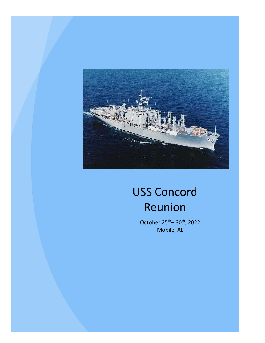

# USS Concord Reunion

October  $25^{th}$ – 30<sup>th</sup>, 2022 Mobile, AL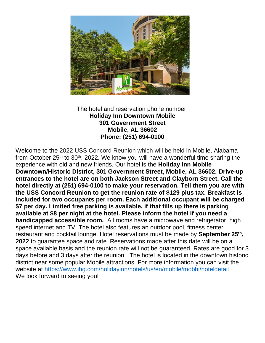

The hotel and reservation phone number: **Holiday Inn Downtown Mobile 301 Government Street Mobile, AL 36602 Phone: (251) 694-0100**

Welcome to the 2022 USS Concord Reunion which will be held in Mobile, Alabama from October  $25<sup>th</sup>$  to  $30<sup>th</sup>$ , 2022. We know you will have a wonderful time sharing the experience with old and new friends. Our hotel is the **Holiday Inn Mobile Downtown/Historic District, 301 Government Street, Mobile, AL 36602. Drive-up entrances to the hotel are on both Jackson Street and Clayborn Street. Call the hotel directly at (251) 694-0100 to make your reservation. Tell them you are with the USS Concord Reunion to get the reunion rate of \$129 plus tax. Breakfast is included for two occupants per room. Each additional occupant will be charged \$7 per day. Limited free parking is available, if that fills up there is parking available at \$8 per night at the hotel. Please inform the hotel if you need a handicapped accessible room.** All rooms have a microwave and refrigerator, high speed internet and TV. The hotel also features an outdoor pool, fitness center, restaurant and cocktail lounge. Hotel reservations must be made by **September 25th , 2022** to guarantee space and rate. Reservations made after this date will be on a space available basis and the reunion rate will not be guaranteed. Rates are good for 3 days before and 3 days after the reunion. The hotel is located in the downtown historic district near some popular Mobile attractions. For more information you can visit the website at<https://www.ihg.com/holidayinn/hotels/us/en/mobile/mobhi/hoteldetail> We look forward to seeing you!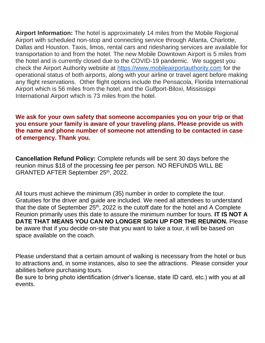**Airport Information:** The hotel is approximately 14 miles from the Mobile Regional Airport with scheduled non-stop and connecting service through Atlanta, Charlotte, Dallas and Houston. Taxis, limos, rental cars and ridesharing services are available for transportation to and from the hotel. The new Mobile Downtown Airport is 5 miles from the hotel and is currently closed due to the COVID-19 pandemic. We suggest you check the Airport Authority website at [https://www.mobileairportauthority.com](https://www.mobileairportauthority.com/) for the operational status of both airports, along with your airline or travel agent before making any flight reservations. Other flight options include the Pensacola, Florida International Airport which is 56 miles from the hotel, and the Gulfport-Biloxi, Mississippi International Airport which is 73 miles from the hotel.

### **We ask for your own safety that someone accompanies you on your trip or that you ensure your family is aware of your traveling plans. Please provide us with the name and phone number of someone not attending to be contacted in case of emergency. Thank you.**

**Cancellation Refund Policy:** Complete refunds will be sent 30 days before the reunion minus \$18 of the processing fee per person. NO REFUNDS WILL BE GRANTED AFTER September 25th, 2022.

All tours must achieve the minimum (35) number in order to complete the tour. Gratuities for the driver and guide are included. We need all attendees to understand that the date of September  $25<sup>th</sup>$ , 2022 is the cutoff date for the hotel and A Complete Reunion primarily uses this date to assure the minimum number for tours. **IT IS NOT A DATE THAT MEANS YOU CAN NO LONGER SIGN UP FOR THE REUNION.** Please be aware that if you decide on-site that you want to take a tour, it will be based on space available on the coach.

Please understand that a certain amount of walking is necessary from the hotel or bus to attractions and, in some instances, also to see the attractions. Please consider your abilities before purchasing tours.

Be sure to bring photo identification (driver's license, state ID card, etc.) with you at all events.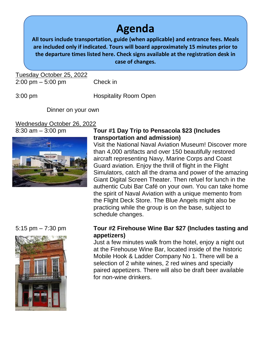### **Agenda**

**All tours include transportation, guide (when applicable) and entrance fees. Meals are included only if indicated. Tours will board approximately 15 minutes prior to the departure times listed here. Check signs available at the registration desk in case of changes.**

Tuesday October 25, 2022 2:00 pm – 5:00 pm Check in

3:00 pm Hospitality Room Open

Dinner on your own

### Wednesday October 26, 2022



### 8:30 am – 3:00 pm **Tour #1 Day Trip to Pensacola \$23 (Includes transportation and admission)**

Visit the National Naval Aviation Museum! Discover more than 4,000 artifacts and over 150 beautifully restored aircraft representing Navy, Marine Corps and Coast Guard aviation. Enjoy the thrill of flight in the Flight Simulators, catch all the drama and power of the amazing Giant Digital Screen Theater. Then refuel for lunch in the authentic Cubi Bar Café on your own. You can take home the spirit of Naval Aviation with a unique memento from the Flight Deck Store. The Blue Angels might also be practicing while the group is on the base, subject to schedule changes.



### 5:15 pm – 7:30 pm **Tour #2 Firehouse Wine Bar \$27 (Includes tasting and appetizers)**

Just a few minutes walk from the hotel, enjoy a night out at the Firehouse Wine Bar, located inside of the historic Mobile Hook & Ladder Company No 1. There will be a selection of 2 white wines, 2 red wines and specially paired appetizers. There will also be draft beer available for non-wine drinkers.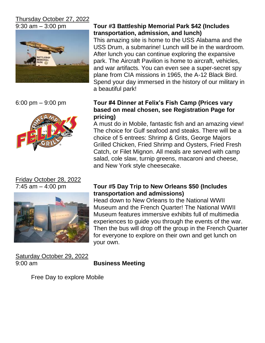### Thursday October 27, 2022





# Friday October 28, 2022



Saturday October 29, 2022 9:00 am **Business Meeting**

### 9:30 am – 3:00 pm **Tour #3 Battleship Memorial Park \$42 (Includes transportation, admission, and lunch)**

This amazing site is home to the USS Alabama and the USS Drum, a submarine! Lunch will be in the wardroom. After lunch you can continue exploring the expansive park. The Aircraft Pavilion is home to aircraft, vehicles, and war artifacts. You can even see a super-secret spy plane from CIA missions in 1965, the A-12 Black Bird. Spend your day immersed in the history of our military in a beautiful park!

### 6:00 pm – 9:00 pm **Tour #4 Dinner at Felix's Fish Camp (Prices vary based on meal chosen, see Registration Page for pricing)**

A must do in Mobile, fantastic fish and an amazing view! The choice for Gulf seafood and steaks. There will be a choice of 5 entrees: Shrimp & Grits, George Majors Grilled Chicken, Fried Shrimp and Oysters, Fried Fresh Catch, or Filet Mignon. All meals are served with camp salad, cole slaw, turnip greens, macaroni and cheese, and New York style cheesecake.

### 7:45 am – 4:00 pm **Tour #5 Day Trip to New Orleans \$50 (Includes transportation and admissions)**

Head down to New Orleans to the National WWII Museum and the French Quarter! The National WWII Museum features immersive exhibits full of multimedia experiences to guide you through the events of the war. Then the bus will drop off the group in the French Quarter for everyone to explore on their own and get lunch on your own.

Free Day to explore Mobile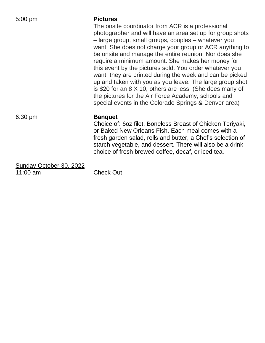#### 5:00 pm **Pictures**

The onsite coordinator from ACR is a professional photographer and will have an area set up for group shots – large group, small groups, couples – whatever you want. She does not charge your group or ACR anything to be onsite and manage the entire reunion. Nor does she require a minimum amount. She makes her money for this event by the pictures sold. You order whatever you want, they are printed during the week and can be picked up and taken with you as you leave. The large group shot is \$20 for an 8 X 10, others are less. (She does many of the pictures for the Air Force Academy, schools and special events in the Colorado Springs & Denver area)

#### 6:30 pm **Banquet**

Choice of: 6oz filet, Boneless Breast of Chicken Teriyaki, or Baked New Orleans Fish. Each meal comes with a fresh garden salad, rolls and butter, a Chef's selection of starch vegetable, and dessert. There will also be a drink choice of fresh brewed coffee, decaf, or iced tea.

Sunday October 30, 2022 11:00 am Check Out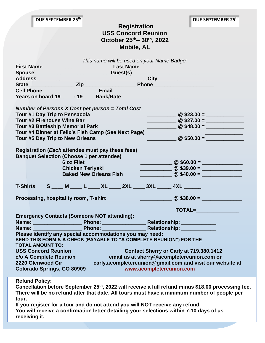### **Registration USS Concord Reunion October 25th– 30 th, 2022 Mobile, AL**

| This name will be used on your Name Badge:                                                                                                                                            |  |  |  |  |                                                                                                                                                                                                                                                                                                                                                                                                                                                                                                                                                                                                                                                                  |                                                                |  |  |
|---------------------------------------------------------------------------------------------------------------------------------------------------------------------------------------|--|--|--|--|------------------------------------------------------------------------------------------------------------------------------------------------------------------------------------------------------------------------------------------------------------------------------------------------------------------------------------------------------------------------------------------------------------------------------------------------------------------------------------------------------------------------------------------------------------------------------------------------------------------------------------------------------------------|----------------------------------------------------------------|--|--|
|                                                                                                                                                                                       |  |  |  |  |                                                                                                                                                                                                                                                                                                                                                                                                                                                                                                                                                                                                                                                                  |                                                                |  |  |
|                                                                                                                                                                                       |  |  |  |  |                                                                                                                                                                                                                                                                                                                                                                                                                                                                                                                                                                                                                                                                  |                                                                |  |  |
|                                                                                                                                                                                       |  |  |  |  |                                                                                                                                                                                                                                                                                                                                                                                                                                                                                                                                                                                                                                                                  |                                                                |  |  |
|                                                                                                                                                                                       |  |  |  |  |                                                                                                                                                                                                                                                                                                                                                                                                                                                                                                                                                                                                                                                                  |                                                                |  |  |
|                                                                                                                                                                                       |  |  |  |  |                                                                                                                                                                                                                                                                                                                                                                                                                                                                                                                                                                                                                                                                  |                                                                |  |  |
| Years on board 19______ - 19______ Rank/Rate ___________________________________                                                                                                      |  |  |  |  |                                                                                                                                                                                                                                                                                                                                                                                                                                                                                                                                                                                                                                                                  |                                                                |  |  |
| Number of Persons X Cost per person = Total Cost                                                                                                                                      |  |  |  |  |                                                                                                                                                                                                                                                                                                                                                                                                                                                                                                                                                                                                                                                                  |                                                                |  |  |
| Tour #1 Day Trip to Pensacola                                                                                                                                                         |  |  |  |  | $\frac{1}{2}$ $\frac{1}{2}$ $\frac{1}{2}$ $\frac{1}{2}$ $\frac{1}{2}$ $\frac{1}{2}$ $\frac{1}{2}$ $\frac{1}{2}$ $\frac{1}{2}$ $\frac{1}{2}$ $\frac{1}{2}$ $\frac{1}{2}$ $\frac{1}{2}$ $\frac{1}{2}$ $\frac{1}{2}$ $\frac{1}{2}$ $\frac{1}{2}$ $\frac{1}{2}$ $\frac{1}{2}$ $\frac{1}{2}$ $\frac{1}{2}$ $\frac{1}{2}$                                                                                                                                                                                                                                                                                                                                              |                                                                |  |  |
| Tour #2 Firehouse Wine Bar                                                                                                                                                            |  |  |  |  | $\frac{1}{2}$ $\frac{1}{2}$ $\frac{1}{2}$ $\frac{1}{2}$ $\frac{1}{2}$ $\frac{1}{2}$ $\frac{1}{2}$ $\frac{1}{2}$ $\frac{1}{2}$ $\frac{1}{2}$ $\frac{1}{2}$ $\frac{1}{2}$ $\frac{1}{2}$ $\frac{1}{2}$ $\frac{1}{2}$ $\frac{1}{2}$ $\frac{1}{2}$ $\frac{1}{2}$ $\frac{1}{2}$ $\frac{1}{2}$ $\frac{1}{2}$ $\frac{1}{2}$                                                                                                                                                                                                                                                                                                                                              |                                                                |  |  |
| Tour #3 Battleship Memorial Park                                                                                                                                                      |  |  |  |  | $\frac{1}{2}$ $\frac{1}{2}$ $\frac{1}{2}$ $\frac{1}{2}$ $\frac{1}{2}$ $\frac{1}{2}$ $\frac{1}{2}$ $\frac{1}{2}$ $\frac{1}{2}$ $\frac{1}{2}$ $\frac{1}{2}$ $\frac{1}{2}$ $\frac{1}{2}$ $\frac{1}{2}$ $\frac{1}{2}$ $\frac{1}{2}$ $\frac{1}{2}$ $\frac{1}{2}$ $\frac{1}{2}$ $\frac{1}{2}$ $\frac{1}{2}$ $\frac{1}{2}$                                                                                                                                                                                                                                                                                                                                              |                                                                |  |  |
| Tour #4 Dinner at Felix's Fish Camp (See Next Page)                                                                                                                                   |  |  |  |  |                                                                                                                                                                                                                                                                                                                                                                                                                                                                                                                                                                                                                                                                  |                                                                |  |  |
| Tour #5 Day Trip to New Orleans                                                                                                                                                       |  |  |  |  |                                                                                                                                                                                                                                                                                                                                                                                                                                                                                                                                                                                                                                                                  |                                                                |  |  |
| Registration (Each attendee must pay these fees)<br><b>Banquet Selection (Choose 1 per attendee)</b><br><b>6 oz Filet</b><br><b>Chicken Teriyaki</b><br><b>Baked New Orleans Fish</b> |  |  |  |  | $\frac{1}{2}$ $\frac{1}{2}$ $\frac{1}{2}$ $\frac{1}{2}$ $\frac{1}{2}$ $\frac{1}{2}$ $\frac{1}{2}$ $\frac{1}{2}$ $\frac{1}{2}$ $\frac{1}{2}$ $\frac{1}{2}$ $\frac{1}{2}$ $\frac{1}{2}$ $\frac{1}{2}$ $\frac{1}{2}$ $\frac{1}{2}$ $\frac{1}{2}$ $\frac{1}{2}$ $\frac{1}{2}$ $\frac{1}{2}$ $\frac{1}{2}$ $\frac{1}{2}$<br>$\frac{1}{2}$ $\frac{1}{2}$ $\frac{1}{2}$ $\frac{1}{2}$ $\frac{1}{2}$ $\frac{1}{2}$ $\frac{1}{2}$ $\frac{1}{2}$ $\frac{1}{2}$ $\frac{1}{2}$ $\frac{1}{2}$ $\frac{1}{2}$ $\frac{1}{2}$ $\frac{1}{2}$ $\frac{1}{2}$ $\frac{1}{2}$ $\frac{1}{2}$ $\frac{1}{2}$ $\frac{1}{2}$ $\frac{1}{2}$ $\frac{1}{2}$ $\frac{1}{2}$<br>$\bullet$ 540.00 = |                                                                |  |  |
| <b>T-Shirts</b>                                                                                                                                                                       |  |  |  |  |                                                                                                                                                                                                                                                                                                                                                                                                                                                                                                                                                                                                                                                                  | S ____ M ____ L _____ XL _____ 2XL _____ 3XL ______ 4XL ______ |  |  |
| Processing, hospitality room, T-shirt                                                                                                                                                 |  |  |  |  |                                                                                                                                                                                                                                                                                                                                                                                                                                                                                                                                                                                                                                                                  |                                                                |  |  |
|                                                                                                                                                                                       |  |  |  |  |                                                                                                                                                                                                                                                                                                                                                                                                                                                                                                                                                                                                                                                                  | TOTAL=                                                         |  |  |
| <b>Emergency Contacts (Someone NOT attending):</b>                                                                                                                                    |  |  |  |  |                                                                                                                                                                                                                                                                                                                                                                                                                                                                                                                                                                                                                                                                  |                                                                |  |  |
|                                                                                                                                                                                       |  |  |  |  |                                                                                                                                                                                                                                                                                                                                                                                                                                                                                                                                                                                                                                                                  |                                                                |  |  |
|                                                                                                                                                                                       |  |  |  |  |                                                                                                                                                                                                                                                                                                                                                                                                                                                                                                                                                                                                                                                                  |                                                                |  |  |
| Please identify any special accommodations you may need:<br>SEND THIS FORM & A CHECK (PAYABLE TO "A COMPLETE REUNION") FOR THE<br><b>TOTAL AMOUNT TO:</b>                             |  |  |  |  |                                                                                                                                                                                                                                                                                                                                                                                                                                                                                                                                                                                                                                                                  |                                                                |  |  |
| <b>USS Concord Reunion</b><br>Contact Sherry or Carly at 719.380.1412                                                                                                                 |  |  |  |  |                                                                                                                                                                                                                                                                                                                                                                                                                                                                                                                                                                                                                                                                  |                                                                |  |  |
| c/o A Complete Reunion<br>email us at sherry@acompletereunion.com or                                                                                                                  |  |  |  |  |                                                                                                                                                                                                                                                                                                                                                                                                                                                                                                                                                                                                                                                                  |                                                                |  |  |
| 2220 Glenwood Cir<br>carly.acompletereunion@gmail.com and visit our website at                                                                                                        |  |  |  |  |                                                                                                                                                                                                                                                                                                                                                                                                                                                                                                                                                                                                                                                                  |                                                                |  |  |
| www.acompletereunion.com<br><b>Colorado Springs, CO 80909</b>                                                                                                                         |  |  |  |  |                                                                                                                                                                                                                                                                                                                                                                                                                                                                                                                                                                                                                                                                  |                                                                |  |  |

**Refund Policy:**

**Cancellation before September 25th, 2022 will receive a full refund minus \$18.00 processing fee. There will be no refund after that date. All tours must have a minimum number of people per tour.** 

**If you register for a tour and do not attend you will NOT receive any refund. You will receive a confirmation letter detailing your selections within 7-10 days of us receiving it.**